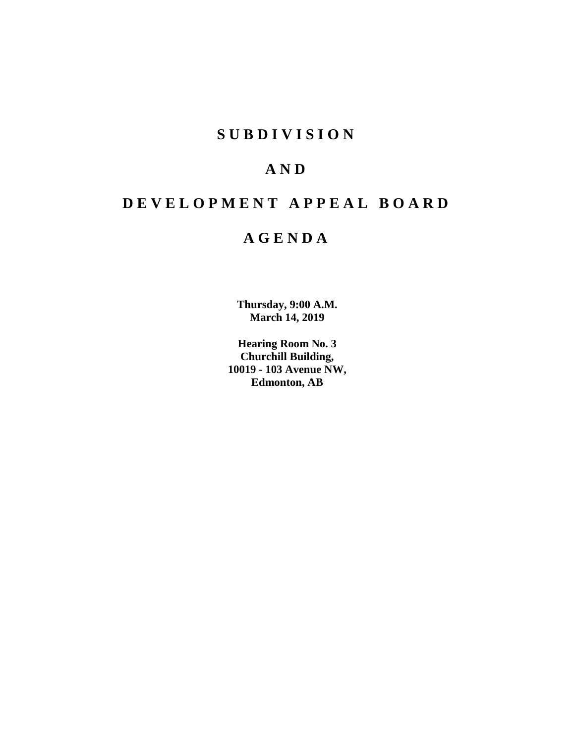## **SUBDIVISION**

## **AND**

# **DEVELOPMENT APPEAL BOARD**

## **AGENDA**

**Thursday, 9:00 A.M. March 14, 2019**

**Hearing Room No. 3 Churchill Building, 10019 - 103 Avenue NW, Edmonton, AB**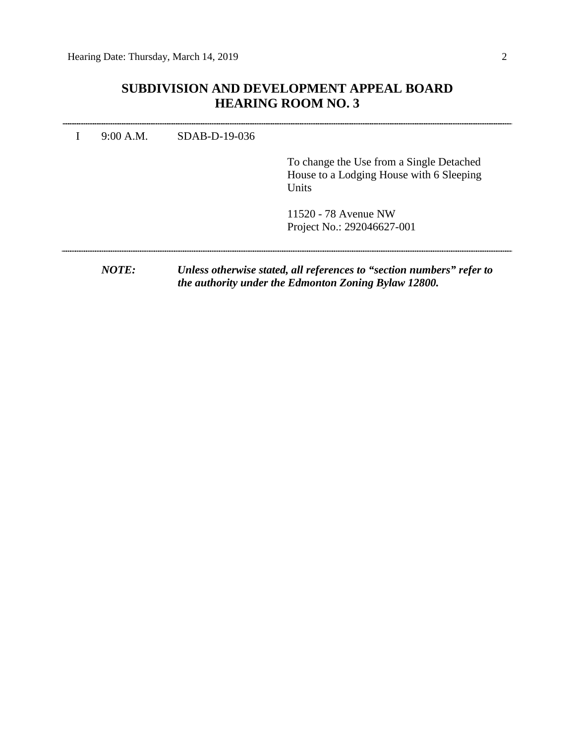## **SUBDIVISION AND DEVELOPMENT APPEAL BOARD HEARING ROOM NO. 3**

|  | To change the Use from a Single Detached<br>House to a Lodging House with 6 Sleeping<br>Units |
|--|-----------------------------------------------------------------------------------------------|
|  | 11520 - 78 Avenue NW<br>Project No.: 292046627-001                                            |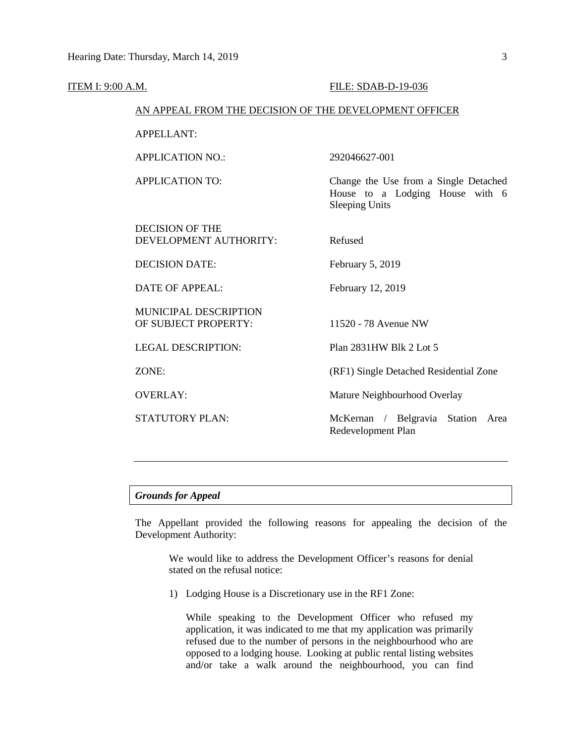| <b>ITEM I: 9:00 A.M.</b> |                                                        | FILE: SDAB-D-19-036                                                                               |  |  |
|--------------------------|--------------------------------------------------------|---------------------------------------------------------------------------------------------------|--|--|
|                          | AN APPEAL FROM THE DECISION OF THE DEVELOPMENT OFFICER |                                                                                                   |  |  |
|                          | <b>APPELLANT:</b>                                      |                                                                                                   |  |  |
|                          | <b>APPLICATION NO.:</b>                                | 292046627-001                                                                                     |  |  |
|                          | <b>APPLICATION TO:</b>                                 | Change the Use from a Single Detached<br>House to a Lodging House with 6<br><b>Sleeping Units</b> |  |  |
|                          | <b>DECISION OF THE</b><br>DEVELOPMENT AUTHORITY:       | Refused                                                                                           |  |  |
|                          | <b>DECISION DATE:</b>                                  | February 5, 2019                                                                                  |  |  |
|                          | <b>DATE OF APPEAL:</b>                                 | February 12, 2019                                                                                 |  |  |
|                          | MUNICIPAL DESCRIPTION<br>OF SUBJECT PROPERTY:          | 11520 - 78 Avenue NW                                                                              |  |  |
|                          | <b>LEGAL DESCRIPTION:</b>                              | Plan 2831HW Blk 2 Lot 5                                                                           |  |  |
|                          | ZONE:                                                  | (RF1) Single Detached Residential Zone                                                            |  |  |
|                          | <b>OVERLAY:</b>                                        | Mature Neighbourhood Overlay                                                                      |  |  |
|                          | <b>STATUTORY PLAN:</b>                                 | McKernan / Belgravia Station Area<br>Redevelopment Plan                                           |  |  |
|                          |                                                        |                                                                                                   |  |  |

### *Grounds for Appeal*

The Appellant provided the following reasons for appealing the decision of the Development Authority:

We would like to address the Development Officer's reasons for denial stated on the refusal notice:

1) Lodging House is a Discretionary use in the RF1 Zone:

While speaking to the Development Officer who refused my application, it was indicated to me that my application was primarily refused due to the number of persons in the neighbourhood who are opposed to a lodging house. Looking at public rental listing websites and/or take a walk around the neighbourhood, you can find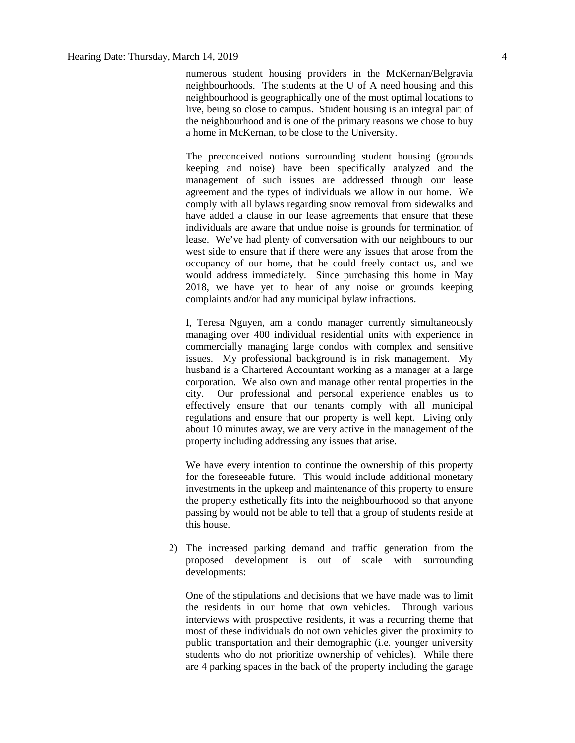numerous student housing providers in the McKernan/Belgravia neighbourhoods. The students at the U of A need housing and this neighbourhood is geographically one of the most optimal locations to live, being so close to campus. Student housing is an integral part of the neighbourhood and is one of the primary reasons we chose to buy a home in McKernan, to be close to the University.

The preconceived notions surrounding student housing (grounds keeping and noise) have been specifically analyzed and the management of such issues are addressed through our lease agreement and the types of individuals we allow in our home. We comply with all bylaws regarding snow removal from sidewalks and have added a clause in our lease agreements that ensure that these individuals are aware that undue noise is grounds for termination of lease. We've had plenty of conversation with our neighbours to our west side to ensure that if there were any issues that arose from the occupancy of our home, that he could freely contact us, and we would address immediately. Since purchasing this home in May 2018, we have yet to hear of any noise or grounds keeping complaints and/or had any municipal bylaw infractions.

I, Teresa Nguyen, am a condo manager currently simultaneously managing over 400 individual residential units with experience in commercially managing large condos with complex and sensitive issues. My professional background is in risk management. My husband is a Chartered Accountant working as a manager at a large corporation. We also own and manage other rental properties in the city. Our professional and personal experience enables us to effectively ensure that our tenants comply with all municipal regulations and ensure that our property is well kept. Living only about 10 minutes away, we are very active in the management of the property including addressing any issues that arise.

We have every intention to continue the ownership of this property for the foreseeable future. This would include additional monetary investments in the upkeep and maintenance of this property to ensure the property esthetically fits into the neighbourhoood so that anyone passing by would not be able to tell that a group of students reside at this house.

2) The increased parking demand and traffic generation from the proposed development is out of scale with surrounding developments:

One of the stipulations and decisions that we have made was to limit the residents in our home that own vehicles. Through various interviews with prospective residents, it was a recurring theme that most of these individuals do not own vehicles given the proximity to public transportation and their demographic (i.e. younger university students who do not prioritize ownership of vehicles). While there are 4 parking spaces in the back of the property including the garage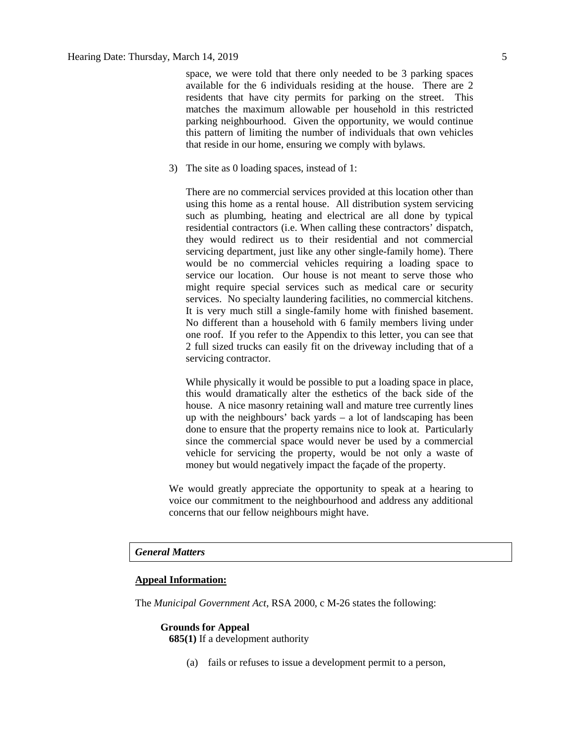space, we were told that there only needed to be 3 parking spaces available for the 6 individuals residing at the house. There are 2 residents that have city permits for parking on the street. This matches the maximum allowable per household in this restricted parking neighbourhood. Given the opportunity, we would continue this pattern of limiting the number of individuals that own vehicles that reside in our home, ensuring we comply with bylaws.

3) The site as 0 loading spaces, instead of 1:

There are no commercial services provided at this location other than using this home as a rental house. All distribution system servicing such as plumbing, heating and electrical are all done by typical residential contractors (i.e. When calling these contractors' dispatch, they would redirect us to their residential and not commercial servicing department, just like any other single-family home). There would be no commercial vehicles requiring a loading space to service our location. Our house is not meant to serve those who might require special services such as medical care or security services. No specialty laundering facilities, no commercial kitchens. It is very much still a single-family home with finished basement. No different than a household with 6 family members living under one roof. If you refer to the Appendix to this letter, you can see that 2 full sized trucks can easily fit on the driveway including that of a servicing contractor.

While physically it would be possible to put a loading space in place, this would dramatically alter the esthetics of the back side of the house. A nice masonry retaining wall and mature tree currently lines up with the neighbours' back yards – a lot of landscaping has been done to ensure that the property remains nice to look at. Particularly since the commercial space would never be used by a commercial vehicle for servicing the property, would be not only a waste of money but would negatively impact the façade of the property.

We would greatly appreciate the opportunity to speak at a hearing to voice our commitment to the neighbourhood and address any additional concerns that our fellow neighbours might have.

#### *General Matters*

### **Appeal Information:**

The *Municipal Government Act*, RSA 2000, c M-26 states the following:

#### **Grounds for Appeal**

**685(1)** If a development authority

(a) fails or refuses to issue a development permit to a person,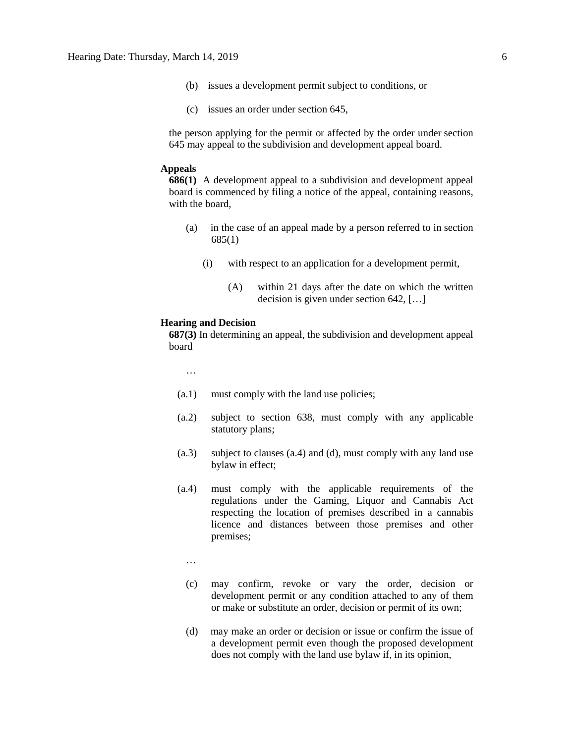- (b) issues a development permit subject to conditions, or
- (c) issues an order under section 645,

the person applying for the permit or affected by the order under section 645 may appeal to the subdivision and development appeal board.

#### **Appeals**

**686(1)** A development appeal to a subdivision and development appeal board is commenced by filing a notice of the appeal, containing reasons, with the board,

- (a) in the case of an appeal made by a person referred to in section 685(1)
	- (i) with respect to an application for a development permit,
		- (A) within 21 days after the date on which the written decision is given under section 642, […]

#### **Hearing and Decision**

**687(3)** In determining an appeal, the subdivision and development appeal board

…

- (a.1) must comply with the land use policies;
- (a.2) subject to section 638, must comply with any applicable statutory plans;
- (a.3) subject to clauses (a.4) and (d), must comply with any land use bylaw in effect;
- (a.4) must comply with the applicable requirements of the regulations under the Gaming, Liquor and Cannabis Act respecting the location of premises described in a cannabis licence and distances between those premises and other premises;

…

- (c) may confirm, revoke or vary the order, decision or development permit or any condition attached to any of them or make or substitute an order, decision or permit of its own;
- (d) may make an order or decision or issue or confirm the issue of a development permit even though the proposed development does not comply with the land use bylaw if, in its opinion,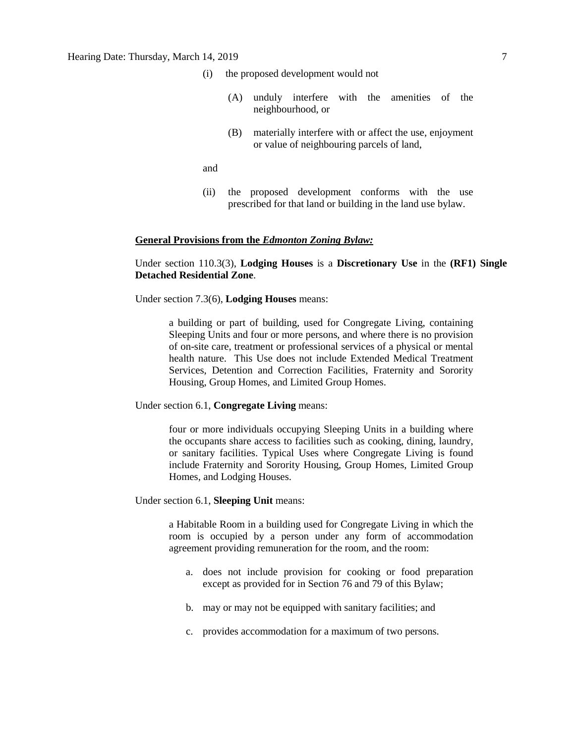- (i) the proposed development would not
	- (A) unduly interfere with the amenities of the neighbourhood, or
	- (B) materially interfere with or affect the use, enjoyment or value of neighbouring parcels of land,
- and
- (ii) the proposed development conforms with the use prescribed for that land or building in the land use bylaw.

#### **General Provisions from the** *Edmonton Zoning Bylaw:*

Under section 110.3(3), **Lodging Houses** is a **Discretionary Use** in the **(RF1) Single Detached Residential Zone**.

Under section 7.3(6), **Lodging Houses** means:

a building or part of building, used for Congregate Living, containing Sleeping Units and four or more persons, and where there is no provision of on-site care, treatment or professional services of a physical or mental health nature. This Use does not include Extended Medical Treatment Services, Detention and Correction Facilities, Fraternity and Sorority Housing, Group Homes, and Limited Group Homes.

#### Under section 6.1, **Congregate Living** means:

four or more individuals occupying Sleeping Units in a building where the occupants share access to facilities such as cooking, dining, laundry, or sanitary facilities. Typical Uses where Congregate Living is found include Fraternity and Sorority Housing, Group Homes, Limited Group Homes, and Lodging Houses.

#### Under section 6.1, **Sleeping Unit** means:

a Habitable Room in a building used for Congregate Living in which the room is occupied by a person under any form of accommodation agreement providing remuneration for the room, and the room:

- a. does not include provision for cooking or food preparation except as provided for in Section 76 and 79 of this Bylaw;
- b. may or may not be equipped with sanitary facilities; and
- c. provides accommodation for a maximum of two persons.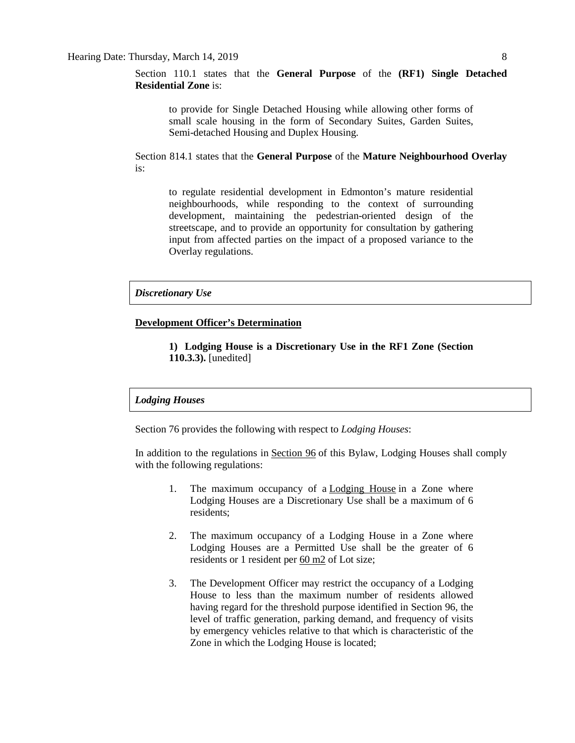Section 110.1 states that the **General Purpose** of the **(RF1) Single Detached Residential Zone** is:

to provide for Single Detached Housing while allowing other forms of small scale housing in the form of Secondary Suites, Garden Suites, Semi-detached Housing and Duplex Housing.

Section 814.1 states that the **General Purpose** of the **Mature Neighbourhood Overlay** is:

to regulate residential development in Edmonton's mature residential neighbourhoods, while responding to the context of surrounding development, maintaining the pedestrian-oriented design of the streetscape, and to provide an opportunity for consultation by gathering input from affected parties on the impact of a proposed variance to the Overlay regulations.

#### *Discretionary Use*

#### **Development Officer's Determination**

**1) Lodging House is a Discretionary Use in the RF1 Zone (Section 110.3.3).** [unedited]

### *Lodging Houses*

Section 76 provides the following with respect to *Lodging Houses*:

In addition to the regulations in [Section 96](https://webdocs.edmonton.ca/InfraPlan/zoningbylaw/ZoningBylaw/Part1/Special_Land/96._Fraternity_and_Sorority_Housing,_Limited_Group_Homes,_Group_Homes,_and_Lodging_Houses_Thresholds.htm) of this Bylaw, Lodging Houses shall comply with the following regulations:

- 1. The maximum occupancy of a **[Lodging House](javascript:void(0);)** in a Zone where Lodging Houses are a Discretionary Use shall be a maximum of 6 residents;
- 2. The maximum occupancy of a Lodging House in a Zone where Lodging Houses are a Permitted Use shall be the greater of 6 residents or 1 resident per [60 m2](javascript:void(0);) of Lot size;
- 3. The Development Officer may restrict the occupancy of a Lodging House to less than the maximum number of residents allowed having regard for the threshold purpose identified in Section 96, the level of traffic generation, parking demand, and frequency of visits by emergency vehicles relative to that which is characteristic of the Zone in which the Lodging House is located;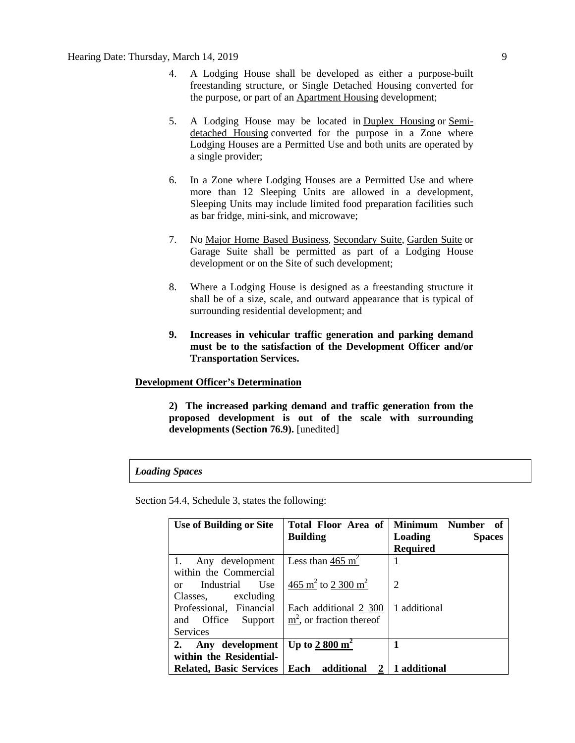- 4. A Lodging House shall be developed as either a purpose-built freestanding structure, or Single Detached Housing converted for the purpose, or part of an [Apartment Housing](javascript:void(0);) development;
- 5. A Lodging House may be located in [Duplex Housing](javascript:void(0);) or [Semi](javascript:void(0);)[detached Housing](javascript:void(0);) converted for the purpose in a Zone where Lodging Houses are a Permitted Use and both units are operated by a single provider;
- 6. In a Zone where Lodging Houses are a Permitted Use and where more than 12 Sleeping Units are allowed in a development, Sleeping Units may include limited food preparation facilities such as bar fridge, mini-sink, and microwave;
- 7. No [Major Home Based Business,](javascript:void(0);) [Secondary Suite,](javascript:void(0);) [Garden Suite](javascript:void(0);) or Garage Suite shall be permitted as part of a Lodging House development or on the Site of such development;
- 8. Where a Lodging House is designed as a freestanding structure it shall be of a size, scale, and outward appearance that is typical of surrounding residential development; and
- **9. Increases in vehicular traffic generation and parking demand must be to the satisfaction of the Development Officer and/or Transportation Services.**

### **Development Officer's Determination**

**2) The increased parking demand and traffic generation from the proposed development is out of the scale with surrounding developments (Section 76.9).** [unedited]

#### *Loading Spaces*

Section 54.4, Schedule 3, states the following:

| <b>Use of Building or Site</b>                 | Total Floor Area of                        | <b>Minimum</b><br><b>Number</b><br>- of |
|------------------------------------------------|--------------------------------------------|-----------------------------------------|
|                                                | <b>Building</b>                            | Loading<br><b>Spaces</b>                |
|                                                |                                            | <b>Required</b>                         |
| Any development<br>1.                          | Less than 465 $m2$                         |                                         |
| within the Commercial                          |                                            |                                         |
| Industrial<br>U <sub>se</sub><br><sub>or</sub> | 465 m <sup>2</sup> to 2 300 m <sup>2</sup> | $\overline{2}$                          |
| excluding<br>Classes.                          |                                            |                                         |
| Professional, Financial                        | Each additional 2 300                      | 1 additional                            |
| Office<br>Support<br>and                       | $m2$ , or fraction thereof                 |                                         |
| <b>Services</b>                                |                                            |                                         |
| Any development<br>2.                          | Up to $2800 \text{ m}^2$                   | 1                                       |
| within the Residential-                        |                                            |                                         |
| <b>Related, Basic Services</b>                 | Each<br>additional                         | 1 additional                            |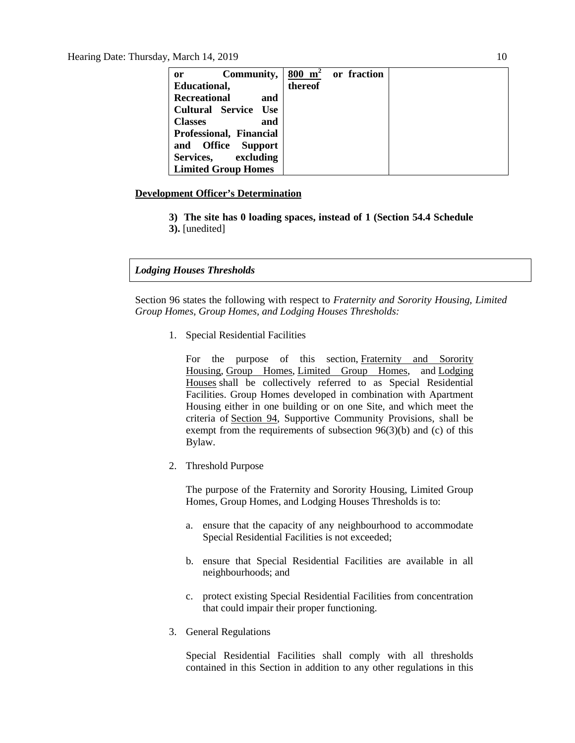| Community, $ 800 \text{ m}^2$ or fraction<br><sub>or</sub> |         |  |
|------------------------------------------------------------|---------|--|
| Educational,                                               | thereof |  |
| <b>Recreational</b><br>and                                 |         |  |
| <b>Cultural Service</b><br>Use                             |         |  |
| <b>Classes</b><br>and                                      |         |  |
| Professional, Financial                                    |         |  |
| and Office<br><b>Support</b>                               |         |  |
| excluding<br>Services,                                     |         |  |
| <b>Limited Group Homes</b>                                 |         |  |

### **Development Officer's Determination**

- **3) The site has 0 loading spaces, instead of 1 (Section 54.4 Schedule**
- **3).** [unedited]

#### *Lodging Houses Thresholds*

Section 96 states the following with respect to *Fraternity and Sorority Housing, Limited Group Homes, Group Homes, and Lodging Houses Thresholds:*

1. Special Residential Facilities

For the purpose of this section, [Fraternity and Sorority](javascript:void(0);)  [Housing,](javascript:void(0);) [Group Homes,](javascript:void(0);) [Limited Group Homes,](javascript:void(0);) and [Lodging](javascript:void(0);)  [Houses](javascript:void(0);) shall be collectively referred to as Special Residential Facilities. Group Homes developed in combination with Apartment Housing either in one building or on one Site, and which meet the criteria of [Section 94,](https://webdocs.edmonton.ca/InfraPlan/zoningbylaw/ZoningBylaw/Part1/Special_Land/94._Supportive_Community_Provision.htm) Supportive Community Provisions, shall be exempt from the requirements of subsection 96(3)(b) and (c) of this Bylaw.

2. Threshold Purpose

The purpose of the Fraternity and Sorority Housing, Limited Group Homes, Group Homes, and Lodging Houses Thresholds is to:

- a. ensure that the capacity of any neighbourhood to accommodate Special Residential Facilities is not exceeded;
- b. ensure that Special Residential Facilities are available in all neighbourhoods; and
- c. protect existing Special Residential Facilities from concentration that could impair their proper functioning.
- 3. General Regulations

Special Residential Facilities shall comply with all thresholds contained in this Section in addition to any other regulations in this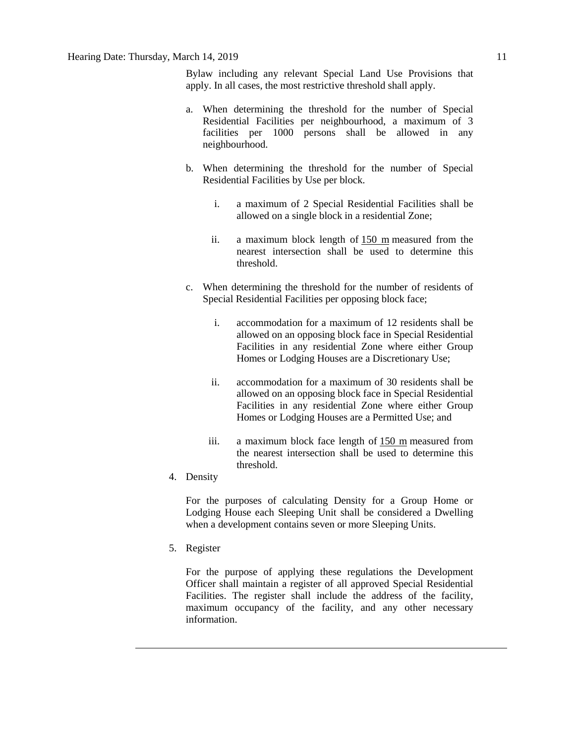Bylaw including any relevant Special Land Use Provisions that apply. In all cases, the most restrictive threshold shall apply.

- a. When determining the threshold for the number of Special Residential Facilities per neighbourhood, a maximum of 3 facilities per 1000 persons shall be allowed in any neighbourhood.
- b. When determining the threshold for the number of Special Residential Facilities by Use per block.
	- i. a maximum of 2 Special Residential Facilities shall be allowed on a single block in a residential Zone;
	- ii. a maximum block length of [150 m](javascript:void(0);) measured from the nearest intersection shall be used to determine this threshold.
- c. When determining the threshold for the number of residents of Special Residential Facilities per opposing block face;
	- i. accommodation for a maximum of 12 residents shall be allowed on an opposing block face in Special Residential Facilities in any residential Zone where either Group Homes or Lodging Houses are a Discretionary Use;
	- ii. accommodation for a maximum of 30 residents shall be allowed on an opposing block face in Special Residential Facilities in any residential Zone where either Group Homes or Lodging Houses are a Permitted Use; and
	- iii. a maximum block face length of [150 m](javascript:void(0);) measured from the nearest intersection shall be used to determine this threshold.
- 4. Density

For the purposes of calculating Density for a Group Home or Lodging House each Sleeping Unit shall be considered a Dwelling when a development contains seven or more Sleeping Units.

5. Register

For the purpose of applying these regulations the Development Officer shall maintain a register of all approved Special Residential Facilities. The register shall include the address of the facility, maximum occupancy of the facility, and any other necessary information.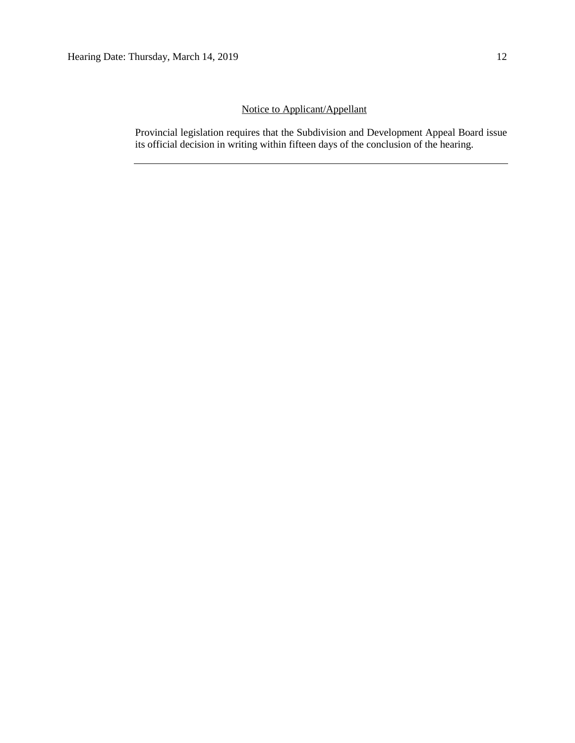## Notice to Applicant/Appellant

Provincial legislation requires that the Subdivision and Development Appeal Board issue its official decision in writing within fifteen days of the conclusion of the hearing.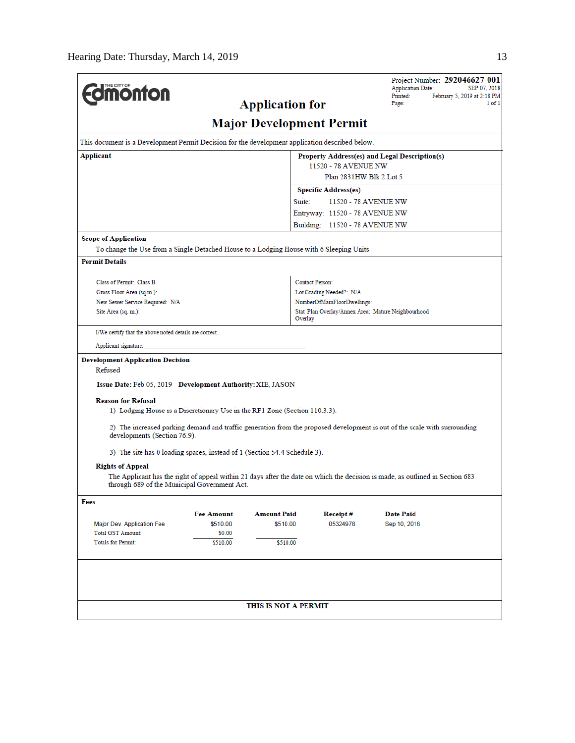|                                                                                                 |                    |                                 |                                                     | Project Number: 292046627-001<br><b>Application Date:</b><br>SEP 07, 2018                                                     |
|-------------------------------------------------------------------------------------------------|--------------------|---------------------------------|-----------------------------------------------------|-------------------------------------------------------------------------------------------------------------------------------|
| <b>MOnton</b>                                                                                   |                    | <b>Application for</b>          |                                                     | Printed:<br>February 5, 2019 at 2:18 PM<br>Page:<br>1 of 1                                                                    |
|                                                                                                 |                    |                                 |                                                     |                                                                                                                               |
|                                                                                                 |                    | <b>Major Development Permit</b> |                                                     |                                                                                                                               |
| This document is a Development Permit Decision for the development application described below. |                    |                                 |                                                     |                                                                                                                               |
| Applicant                                                                                       |                    |                                 |                                                     | Property Address(es) and Legal Description(s)                                                                                 |
|                                                                                                 |                    |                                 | 11520 - 78 AVENUE NW<br>Plan 2831HW Blk 2 Lot 5     |                                                                                                                               |
|                                                                                                 |                    |                                 | <b>Specific Address(es)</b>                         |                                                                                                                               |
|                                                                                                 |                    | Suite:                          | 11520 - 78 AVENUE NW                                |                                                                                                                               |
|                                                                                                 |                    |                                 | Entryway: 11520 - 78 AVENUE NW                      |                                                                                                                               |
|                                                                                                 |                    |                                 | Building: 11520 - 78 AVENUE NW                      |                                                                                                                               |
| <b>Scope of Application</b>                                                                     |                    |                                 |                                                     |                                                                                                                               |
| To change the Use from a Single Detached House to a Lodging House with 6 Sleeping Units         |                    |                                 |                                                     |                                                                                                                               |
| <b>Permit Details</b>                                                                           |                    |                                 |                                                     |                                                                                                                               |
| Class of Permit: Class B                                                                        |                    |                                 | <b>Contact Person:</b>                              |                                                                                                                               |
| Gross Floor Area (sq.m.):                                                                       |                    |                                 | Lot Grading Needed?: N/A                            |                                                                                                                               |
| New Sewer Service Required: N/A                                                                 |                    |                                 | NumberOfMainFloorDwellings:                         |                                                                                                                               |
| Site Area (sq. m.):                                                                             |                    | Overlay                         | Stat. Plan Overlay/Annex Area: Mature Neighbourhood |                                                                                                                               |
| I/We certify that the above noted details are correct.                                          |                    |                                 |                                                     |                                                                                                                               |
| Applicant signature:                                                                            |                    |                                 |                                                     |                                                                                                                               |
| <b>Development Application Decision</b>                                                         |                    |                                 |                                                     |                                                                                                                               |
| Refused                                                                                         |                    |                                 |                                                     |                                                                                                                               |
| Issue Date: Feb 05, 2019 Development Authority: XIE, JASON                                      |                    |                                 |                                                     |                                                                                                                               |
| <b>Reason for Refusal</b>                                                                       |                    |                                 |                                                     |                                                                                                                               |
| 1) Lodging House is a Discretionary Use in the RF1 Zone (Section 110.3.3).                      |                    |                                 |                                                     |                                                                                                                               |
| developments (Section 76.9).                                                                    |                    |                                 |                                                     | 2) The increased parking demand and traffic generation from the proposed development is out of the scale with surrounding     |
| 3) The site has 0 loading spaces, instead of 1 (Section 54.4 Schedule 3).                       |                    |                                 |                                                     |                                                                                                                               |
| <b>Rights of Appeal</b>                                                                         |                    |                                 |                                                     |                                                                                                                               |
| through 689 of the Municipal Government Act.                                                    |                    |                                 |                                                     | The Applicant has the right of appeal within 21 days after the date on which the decision is made, as outlined in Section 683 |
| Fees                                                                                            |                    |                                 |                                                     |                                                                                                                               |
|                                                                                                 | <b>Fee Amount</b>  | <b>Amount Paid</b>              | Receipt #                                           | <b>Date Paid</b>                                                                                                              |
| Major Dev. Application Fee                                                                      | \$510.00           | \$510.00                        | 05324978                                            | Sep 10, 2018                                                                                                                  |
| <b>Total GST Amount:</b><br><b>Totals for Permit:</b>                                           | \$0.00<br>\$510.00 | \$510.00                        |                                                     |                                                                                                                               |
|                                                                                                 |                    |                                 |                                                     |                                                                                                                               |
|                                                                                                 |                    |                                 |                                                     |                                                                                                                               |
|                                                                                                 |                    |                                 |                                                     |                                                                                                                               |
|                                                                                                 |                    |                                 |                                                     |                                                                                                                               |
|                                                                                                 |                    | THIS IS NOT A PERMIT            |                                                     |                                                                                                                               |
|                                                                                                 |                    |                                 |                                                     |                                                                                                                               |